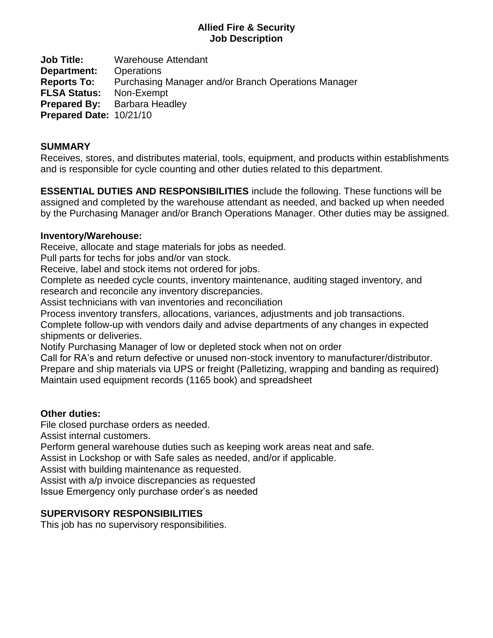#### **Allied Fire & Security Job Description**

**Job Title:** Warehouse Attendant **Department:** Operations **Reports To:** Purchasing Manager and/or Branch Operations Manager **FLSA Status:** Non-Exempt **Prepared By:** Barbara Headley **Prepared Date:** 10/21/10

#### **SUMMARY**

Receives, stores, and distributes material, tools, equipment, and products within establishments and is responsible for cycle counting and other duties related to this department.

**ESSENTIAL DUTIES AND RESPONSIBILITIES** include the following. These functions will be assigned and completed by the warehouse attendant as needed, and backed up when needed by the Purchasing Manager and/or Branch Operations Manager. Other duties may be assigned.

#### **Inventory/Warehouse:**

Receive, allocate and stage materials for jobs as needed.

Pull parts for techs for jobs and/or van stock.

Receive, label and stock items not ordered for jobs.

Complete as needed cycle counts, inventory maintenance, auditing staged inventory, and research and reconcile any inventory discrepancies.

Assist technicians with van inventories and reconciliation

Process inventory transfers, allocations, variances, adjustments and job transactions.

Complete follow-up with vendors daily and advise departments of any changes in expected shipments or deliveries.

Notify Purchasing Manager of low or depleted stock when not on order

Call for RA's and return defective or unused non-stock inventory to manufacturer/distributor. Prepare and ship materials via UPS or freight (Palletizing, wrapping and banding as required) Maintain used equipment records (1165 book) and spreadsheet

## **Other duties:**

File closed purchase orders as needed.

Assist internal customers.

Perform general warehouse duties such as keeping work areas neat and safe.

Assist in Lockshop or with Safe sales as needed, and/or if applicable.

Assist with building maintenance as requested.

Assist with a/p invoice discrepancies as requested

Issue Emergency only purchase order's as needed

## **SUPERVISORY RESPONSIBILITIES**

This job has no supervisory responsibilities.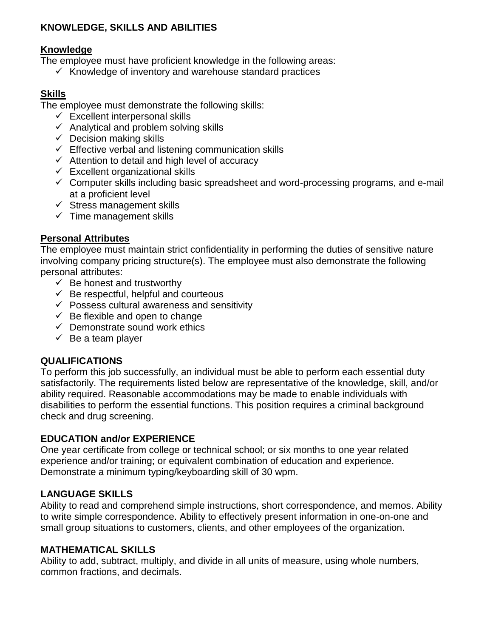## **KNOWLEDGE, SKILLS AND ABILITIES**

#### **Knowledge**

The employee must have proficient knowledge in the following areas:

 $\checkmark$  Knowledge of inventory and warehouse standard practices

## **Skills**

The employee must demonstrate the following skills:

- $\checkmark$  Excellent interpersonal skills
- $\checkmark$  Analytical and problem solving skills
- $\checkmark$  Decision making skills
- $\checkmark$  Effective verbal and listening communication skills
- $\checkmark$  Attention to detail and high level of accuracy
- $\checkmark$  Excellent organizational skills
- $\checkmark$  Computer skills including basic spreadsheet and word-processing programs, and e-mail at a proficient level
- $\checkmark$  Stress management skills
- $\checkmark$  Time management skills

## **Personal Attributes**

The employee must maintain strict confidentiality in performing the duties of sensitive nature involving company pricing structure(s). The employee must also demonstrate the following personal attributes:

- $\checkmark$  Be honest and trustworthy
- $\checkmark$  Be respectful, helpful and courteous
- $\checkmark$  Possess cultural awareness and sensitivity
- $\checkmark$  Be flexible and open to change
- $\checkmark$  Demonstrate sound work ethics
- $\checkmark$  Be a team player

## **QUALIFICATIONS**

To perform this job successfully, an individual must be able to perform each essential duty satisfactorily. The requirements listed below are representative of the knowledge, skill, and/or ability required. Reasonable accommodations may be made to enable individuals with disabilities to perform the essential functions. This position requires a criminal background check and drug screening.

## **EDUCATION and/or EXPERIENCE**

One year certificate from college or technical school; or six months to one year related experience and/or training; or equivalent combination of education and experience. Demonstrate a minimum typing/keyboarding skill of 30 wpm.

## **LANGUAGE SKILLS**

Ability to read and comprehend simple instructions, short correspondence, and memos. Ability to write simple correspondence. Ability to effectively present information in one-on-one and small group situations to customers, clients, and other employees of the organization.

## **MATHEMATICAL SKILLS**

Ability to add, subtract, multiply, and divide in all units of measure, using whole numbers, common fractions, and decimals.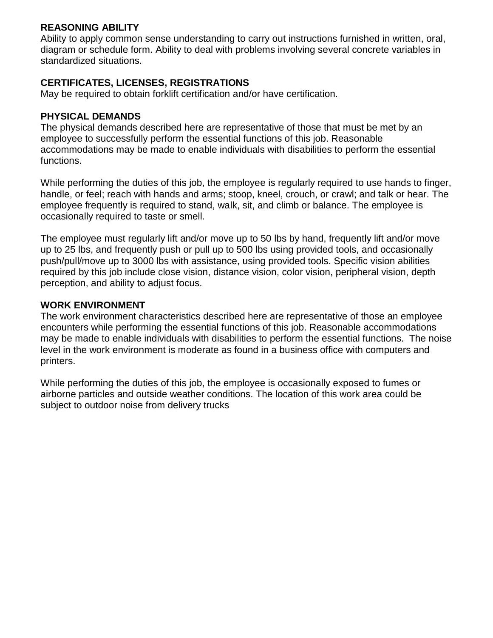#### **REASONING ABILITY**

Ability to apply common sense understanding to carry out instructions furnished in written, oral, diagram or schedule form. Ability to deal with problems involving several concrete variables in standardized situations.

#### **CERTIFICATES, LICENSES, REGISTRATIONS**

May be required to obtain forklift certification and/or have certification.

#### **PHYSICAL DEMANDS**

The physical demands described here are representative of those that must be met by an employee to successfully perform the essential functions of this job. Reasonable accommodations may be made to enable individuals with disabilities to perform the essential functions.

While performing the duties of this job, the employee is regularly required to use hands to finger, handle, or feel; reach with hands and arms; stoop, kneel, crouch, or crawl; and talk or hear. The employee frequently is required to stand, walk, sit, and climb or balance. The employee is occasionally required to taste or smell.

The employee must regularly lift and/or move up to 50 lbs by hand, frequently lift and/or move up to 25 lbs, and frequently push or pull up to 500 lbs using provided tools, and occasionally push/pull/move up to 3000 lbs with assistance, using provided tools. Specific vision abilities required by this job include close vision, distance vision, color vision, peripheral vision, depth perception, and ability to adjust focus.

#### **WORK ENVIRONMENT**

The work environment characteristics described here are representative of those an employee encounters while performing the essential functions of this job. Reasonable accommodations may be made to enable individuals with disabilities to perform the essential functions. The noise level in the work environment is moderate as found in a business office with computers and printers.

While performing the duties of this job, the employee is occasionally exposed to fumes or airborne particles and outside weather conditions. The location of this work area could be subject to outdoor noise from delivery trucks